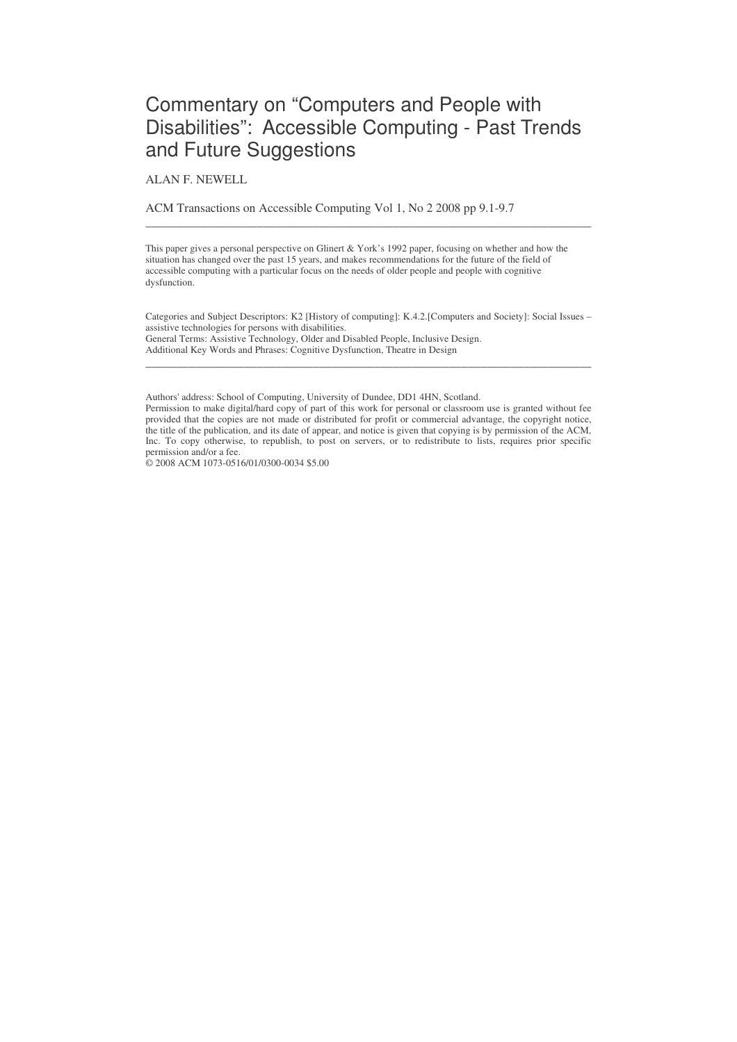# Commentary on "Computers and People with Disabilities": Accessible Computing - Past Trends and Future Suggestions

ALAN F. NEWELL

ACM Transactions on Accessible Computing Vol 1, No 2 2008 pp 9.1-9.7

This paper gives a personal perspective on Glinert & York's 1992 paper, focusing on whether and how the situation has changed over the past 15 years, and makes recommendations for the future of the field of accessible computing with a particular focus on the needs of older people and people with cognitive dysfunction.

\_\_\_\_\_\_\_\_\_\_\_\_\_\_\_\_\_\_\_\_\_\_\_\_\_\_\_\_\_\_\_\_\_\_\_\_\_\_\_\_\_\_\_\_\_\_\_\_\_\_\_\_\_\_\_\_\_\_\_\_\_\_\_\_\_\_\_\_\_\_\_\_

Categories and Subject Descriptors: K2 [History of computing]: K.4.2.[Computers and Society]: Social Issues – assistive technologies for persons with disabilities. General Terms: Assistive Technology, Older and Disabled People, Inclusive Design. Additional Key Words and Phrases: Cognitive Dysfunction, Theatre in Design

\_\_\_\_\_\_\_\_\_\_\_\_\_\_\_\_\_\_\_\_\_\_\_\_\_\_\_\_\_\_\_\_\_\_\_\_\_\_\_\_\_\_\_\_\_\_\_\_\_\_\_\_\_\_\_\_\_\_\_\_\_\_\_\_\_\_\_\_\_\_\_\_

Authors'address: School of Computing, University of Dundee, DD1 4HN, Scotland. Permission to make digital/hard copy of part of this work for personal or classroom use is granted without fee provided that the copies are not made or distributed for profit or commercial advantage, the copyright notice, the title of the publication, and its date of appear, and notice is given that copying is by permission of the ACM, Inc. To copy otherwise, to republish, to post on servers, or to redistribute to lists, requires prior specific permission and/or a fee.

© 2008 ACM 1073-0516/01/0300-0034 \$5.00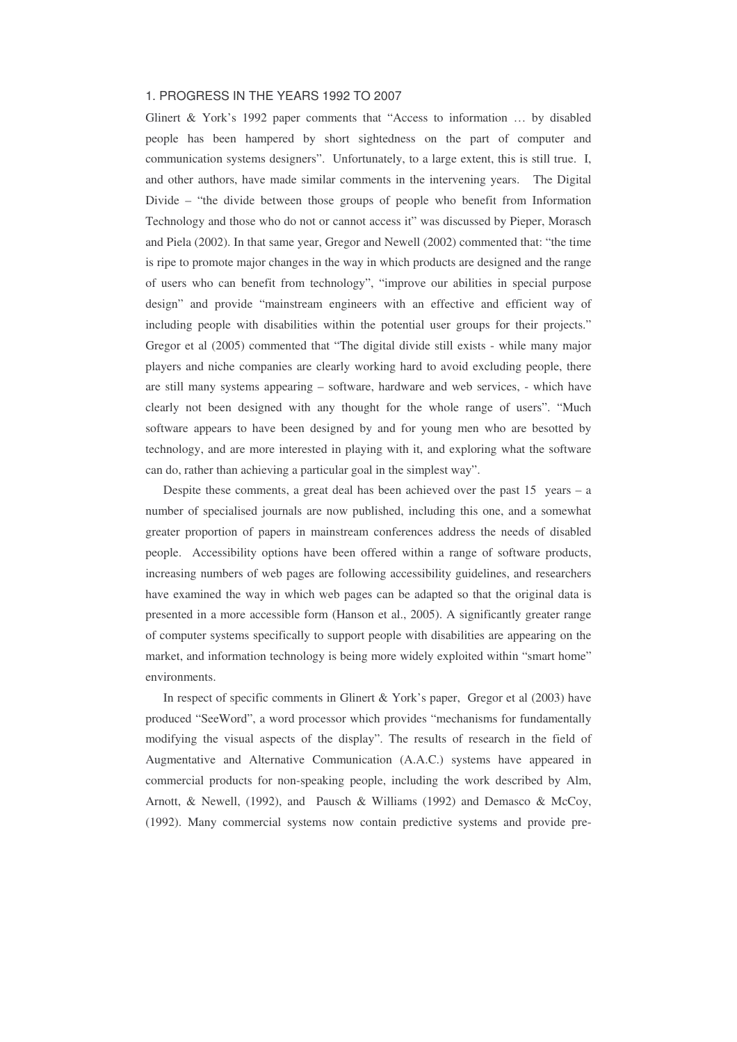## 1. PROGRESS IN THE YEARS 1992 TO 2007

Glinert & York's 1992 paper comments that "Access to information … by disabled people has been hampered by short sightedness on the part of computer and communication systems designers". Unfortunately, to a large extent, this is still true. I, and other authors, have made similar comments in the intervening years. The Digital Divide – "the divide between those groups of people who benefit from Information Technology and those who do not or cannot access it" was discussed by Pieper, Morasch and Piela (2002). In that same year, Gregor and Newell (2002) commented that: "the time is ripe to promote major changes in the way in which products are designed and the range of users who can benefit from technology", "improve our abilities in special purpose design" and provide "mainstream engineers with an effective and efficient way of including people with disabilities within the potential user groups for their projects." Gregor et al (2005) commented that "The digital divide still exists - while many major players and niche companies are clearly working hard to avoid excluding people, there are still many systems appearing – software, hardware and web services, - which have clearly not been designed with any thought for the whole range of users". "Much software appears to have been designed by and for young men who are besotted by technology, and are more interested in playing with it, and exploring what the software can do, rather than achieving a particular goal in the simplest way".

Despite these comments, a great deal has been achieved over the past 15 years – a number of specialised journals are now published, including this one, and a somewhat greater proportion of papers in mainstream conferences address the needs of disabled people. Accessibility options have been offered within a range of software products, increasing numbers of web pages are following accessibility guidelines, and researchers have examined the way in which web pages can be adapted so that the original data is presented in a more accessible form (Hanson et al., 2005). A significantly greater range of computer systems specifically to support people with disabilities are appearing on the market, and information technology is being more widely exploited within "smart home" environments.

In respect of specific comments in Glinert & York's paper, Gregor et al (2003) have produced "SeeWord", a word processor which provides "mechanisms for fundamentally modifying the visual aspects of the display". The results of research in the field of Augmentative and Alternative Communication (A.A.C.) systems have appeared in commercial products for non-speaking people, including the work described by Alm, Arnott, & Newell, (1992), and Pausch & Williams (1992) and Demasco & McCoy, (1992). Many commercial systems now contain predictive systems and provide pre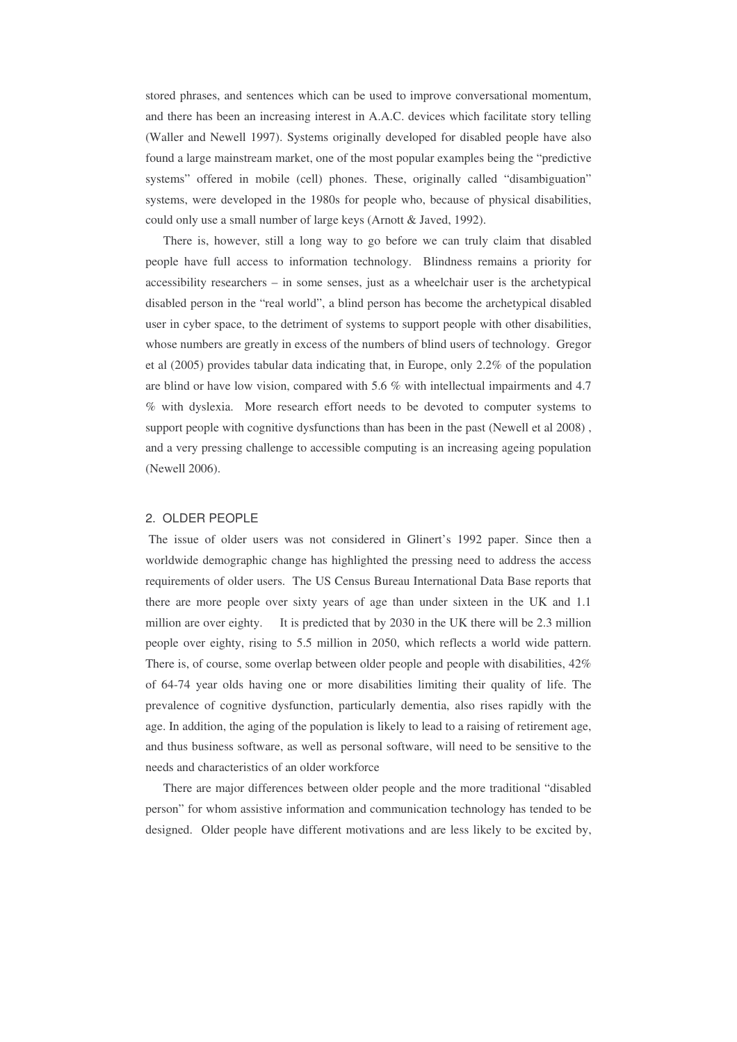stored phrases, and sentences which can be used to improve conversational momentum, and there has been an increasing interest in A.A.C. devices which facilitate story telling (Waller and Newell 1997). Systems originally developed for disabled people have also found a large mainstream market, one of the most popular examples being the "predictive systems" offered in mobile (cell) phones. These, originally called "disambiguation" systems, were developed in the 1980s for people who, because of physical disabilities, could only use a small number of large keys (Arnott & Javed, 1992).

There is, however, still a long way to go before we can truly claim that disabled people have full access to information technology. Blindness remains a priority for accessibility researchers – in some senses, just as a wheelchair user is the archetypical disabled person in the "real world", a blind person has become the archetypical disabled user in cyber space, to the detriment of systems to support people with other disabilities, whose numbers are greatly in excess of the numbers of blind users of technology. Gregor et al (2005) provides tabular data indicating that, in Europe, only 2.2% of the population are blind or have low vision, compared with 5.6 % with intellectual impairments and 4.7 % with dyslexia. More research effort needs to be devoted to computer systems to support people with cognitive dysfunctions than has been in the past (Newell et al 2008) , and a very pressing challenge to accessible computing is an increasing ageing population (Newell 2006).

#### 2. OLDER PEOPLE

The issue of older users was not considered in Glinert's 1992 paper. Since then a worldwide demographic change has highlighted the pressing need to address the access requirements of older users. The US Census Bureau International Data Base reports that there are more people over sixty years of age than under sixteen in the UK and 1.1 million are over eighty. It is predicted that by 2030 in the UK there will be 2.3 million people over eighty, rising to 5.5 million in 2050, which reflects a world wide pattern. There is, of course, some overlap between older people and people with disabilities, 42% of 64-74 year olds having one or more disabilities limiting their quality of life. The prevalence of cognitive dysfunction, particularly dementia, also rises rapidly with the age. In addition, the aging of the population is likely to lead to a raising of retirement age, and thus business software, as well as personal software, will need to be sensitive to the needs and characteristics of an older workforce

There are major differences between older people and the more traditional "disabled person" for whom assistive information and communication technology has tended to be designed. Older people have different motivations and are less likely to be excited by,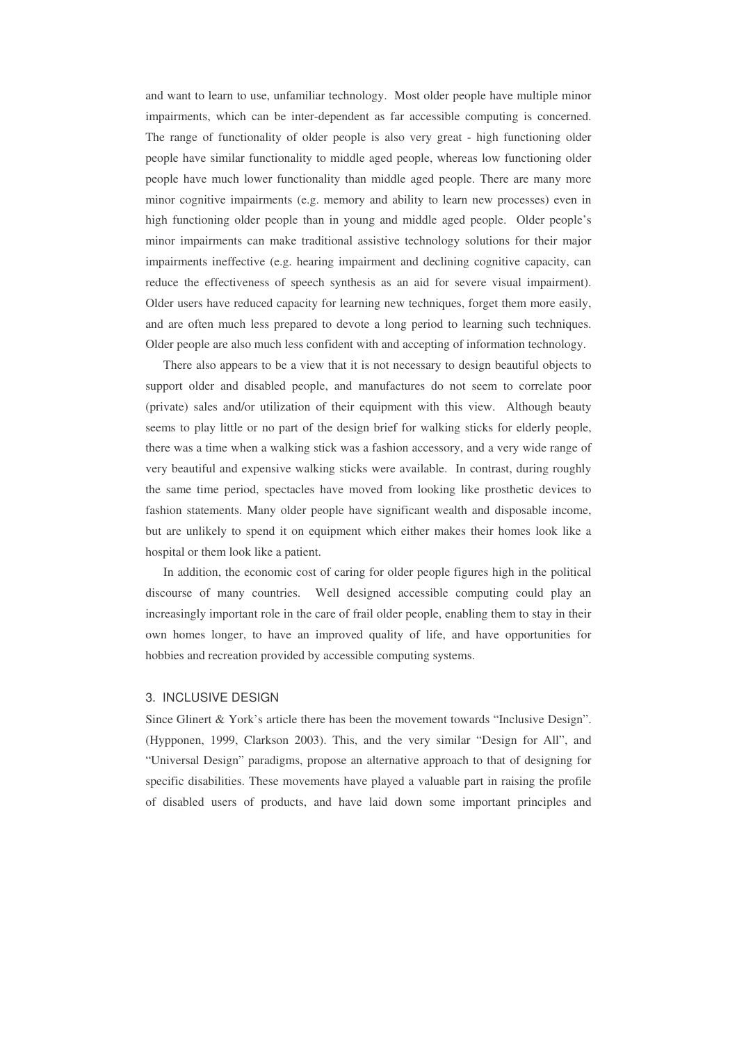and want to learn to use, unfamiliar technology. Most older people have multiple minor impairments, which can be inter-dependent as far accessible computing is concerned. The range of functionality of older people is also very great - high functioning older people have similar functionality to middle aged people, whereas low functioning older people have much lower functionality than middle aged people. There are many more minor cognitive impairments (e.g. memory and ability to learn new processes) even in high functioning older people than in young and middle aged people. Older people's minor impairments can make traditional assistive technology solutions for their major impairments ineffective (e.g. hearing impairment and declining cognitive capacity, can reduce the effectiveness of speech synthesis as an aid for severe visual impairment). Older users have reduced capacity for learning new techniques, forget them more easily, and are often much less prepared to devote a long period to learning such techniques. Older people are also much less confident with and accepting of information technology.

There also appears to be a view that it is not necessary to design beautiful objects to support older and disabled people, and manufactures do not seem to correlate poor (private) sales and/or utilization of their equipment with this view. Although beauty seems to play little or no part of the design brief for walking sticks for elderly people, there was a time when a walking stick was a fashion accessory, and a very wide range of very beautiful and expensive walking sticks were available. In contrast, during roughly the same time period, spectacles have moved from looking like prosthetic devices to fashion statements. Many older people have significant wealth and disposable income, but are unlikely to spend it on equipment which either makes their homes look like a hospital or them look like a patient.

In addition, the economic cost of caring for older people figures high in the political discourse of many countries. Well designed accessible computing could play an increasingly important role in the care of frail older people, enabling them to stay in their own homes longer, to have an improved quality of life, and have opportunities for hobbies and recreation provided by accessible computing systems.

## 3. INCLUSIVE DESIGN

Since Glinert & York's article there has been the movement towards "Inclusive Design". (Hypponen, 1999, Clarkson 2003). This, and the very similar "Design for All", and "Universal Design" paradigms, propose an alternative approach to that of designing for specific disabilities. These movements have played a valuable part in raising the profile of disabled users of products, and have laid down some important principles and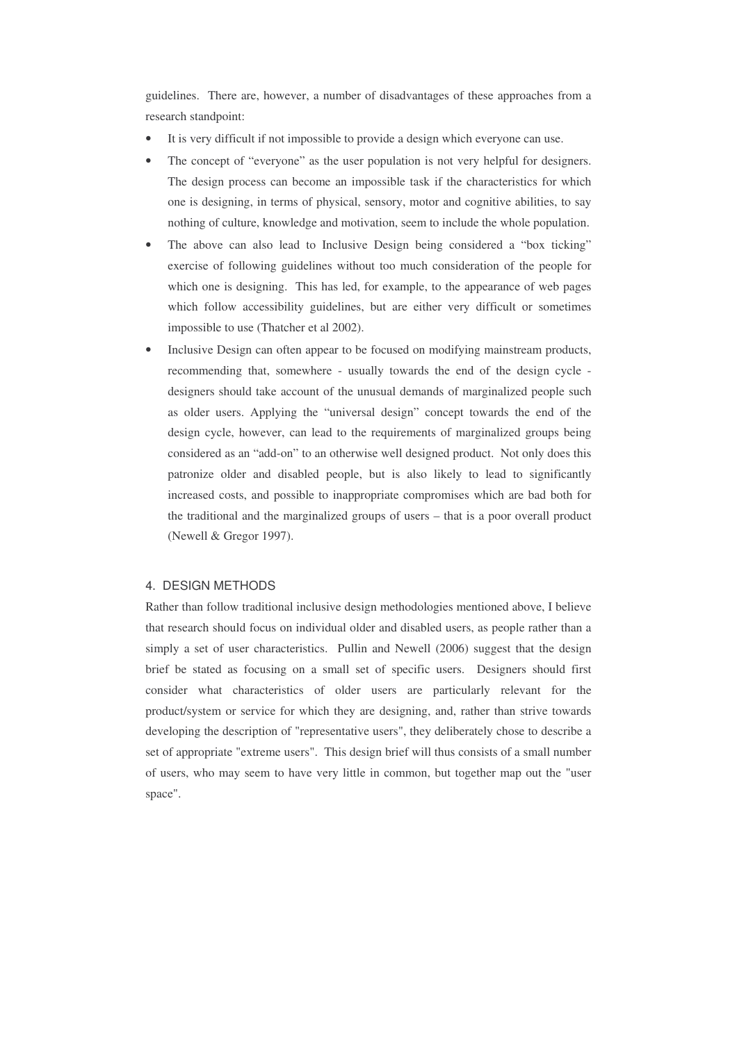guidelines. There are, however, a number of disadvantages of these approaches from a research standpoint:

- It is very difficult if not impossible to provide a design which everyone can use.
- The concept of "everyone" as the user population is not very helpful for designers. The design process can become an impossible task if the characteristics for which one is designing, in terms of physical, sensory, motor and cognitive abilities, to say nothing of culture, knowledge and motivation, seem to include the whole population.
- The above can also lead to Inclusive Design being considered a "box ticking" exercise of following guidelines without too much consideration of the people for which one is designing. This has led, for example, to the appearance of web pages which follow accessibility guidelines, but are either very difficult or sometimes impossible to use (Thatcher et al 2002).
- Inclusive Design can often appear to be focused on modifying mainstream products, recommending that, somewhere - usually towards the end of the design cycle designers should take account of the unusual demands of marginalized people such as older users. Applying the "universal design" concept towards the end of the design cycle, however, can lead to the requirements of marginalized groups being considered as an "add-on" to an otherwise well designed product. Not only does this patronize older and disabled people, but is also likely to lead to significantly increased costs, and possible to inappropriate compromises which are bad both for the traditional and the marginalized groups of users – that is a poor overall product (Newell & Gregor 1997).

#### 4. DESIGN METHODS

Rather than follow traditional inclusive design methodologies mentioned above, I believe that research should focus on individual older and disabled users, as people rather than a simply a set of user characteristics. Pullin and Newell (2006) suggest that the design brief be stated as focusing on a small set of specific users. Designers should first consider what characteristics of older users are particularly relevant for the product/system or service for which they are designing, and, rather than strive towards developing the description of "representative users", they deliberately chose to describe a set of appropriate "extreme users". This design brief will thus consists of a small number of users, who may seem to have very little in common, but together map out the "user space".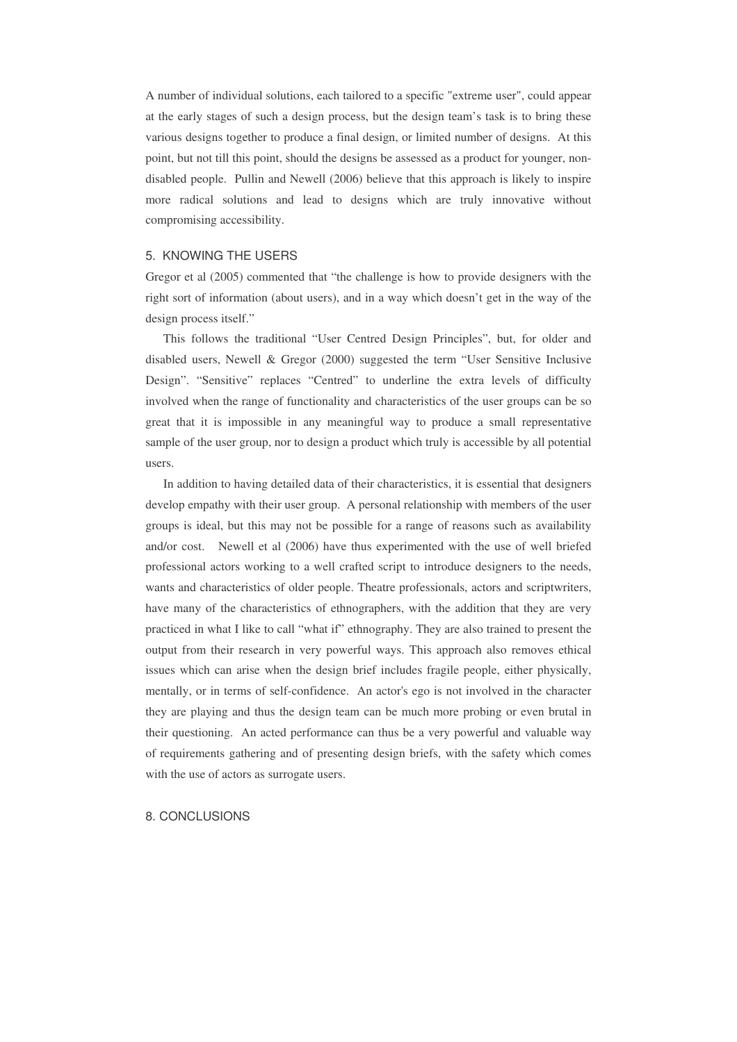A number of individual solutions, each tailored to a specific "extreme user", could appear at the early stages of such a design process, but the design team's task is to bring these various designs together to produce a final design, or limited number of designs. At this point, but not till this point, should the designs be assessed as a product for younger, nondisabled people. Pullin and Newell (2006) believe that this approach is likely to inspire more radical solutions and lead to designs which are truly innovative without compromising accessibility.

#### 5. KNOWING THE USERS

Gregor et al (2005) commented that "the challenge is how to provide designers with the right sort of information (about users), and in a way which doesn't get in the way of the design process itself."

This follows the traditional "User Centred Design Principles", but, for older and disabled users, Newell & Gregor (2000) suggested the term "User Sensitive Inclusive Design". "Sensitive" replaces "Centred" to underline the extra levels of difficulty involved when the range of functionality and characteristics of the user groups can be so great that it is impossible in any meaningful way to produce a small representative sample of the user group, nor to design a product which truly is accessible by all potential users.

In addition to having detailed data of their characteristics, it is essential that designers develop empathy with their user group. A personal relationship with members of the user groups is ideal, but this may not be possible for a range of reasons such as availability and/or cost. Newell et al (2006) have thus experimented with the use of well briefed professional actors working to a well crafted script to introduce designers to the needs, wants and characteristics of older people. Theatre professionals, actors and scriptwriters, have many of the characteristics of ethnographers, with the addition that they are very practiced in what I like to call "what if" ethnography. They are also trained to present the output from their research in very powerful ways. This approach also removes ethical issues which can arise when the design brief includes fragile people, either physically, mentally, or in terms of self-confidence. An actor's ego is not involved in the character they are playing and thus the design team can be much more probing or even brutal in their questioning. An acted performance can thus be a very powerful and valuable way of requirements gathering and of presenting design briefs, with the safety which comes with the use of actors as surrogate users.

#### 8. CONCLUSIONS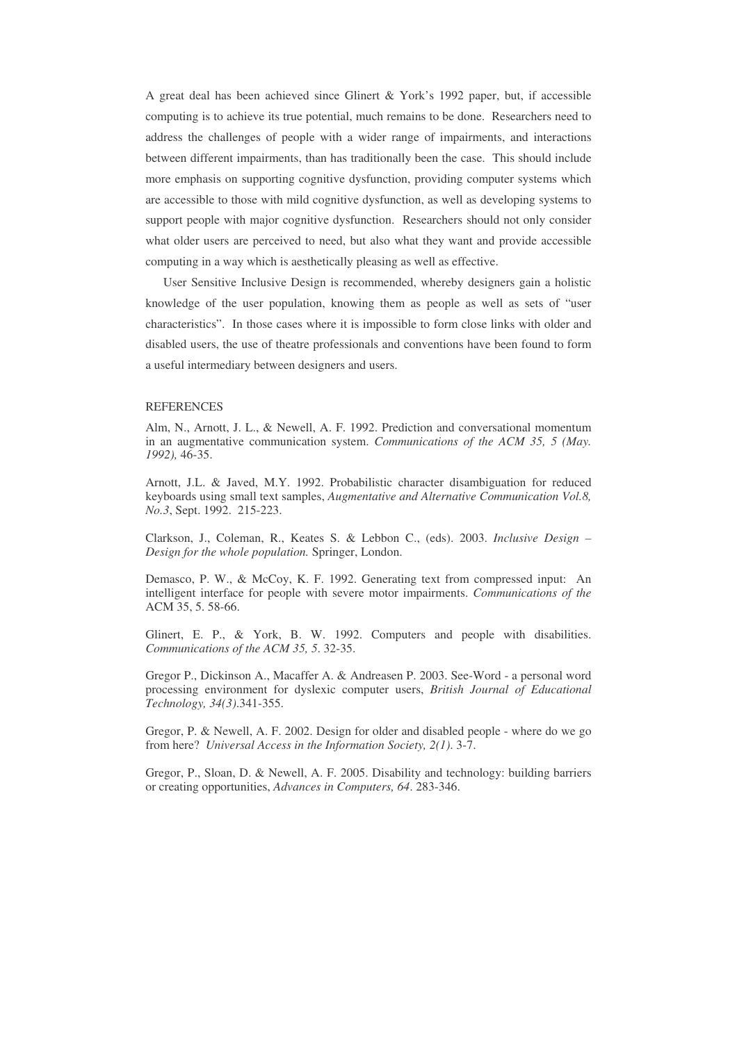A great deal has been achieved since Glinert & York's 1992 paper, but, if accessible computing is to achieve its true potential, much remains to be done. Researchers need to address the challenges of people with a wider range of impairments, and interactions between different impairments, than has traditionally been the case. This should include more emphasis on supporting cognitive dysfunction, providing computer systems which are accessible to those with mild cognitive dysfunction, as well as developing systems to support people with major cognitive dysfunction. Researchers should not only consider what older users are perceived to need, but also what they want and provide accessible computing in a way which is aesthetically pleasing as well as effective.

User Sensitive Inclusive Design is recommended, whereby designers gain a holistic knowledge of the user population, knowing them as people as well as sets of "user characteristics". In those cases where it is impossible to form close links with older and disabled users, the use of theatre professionals and conventions have been found to form a useful intermediary between designers and users.

#### **REFERENCES**

Alm, N., Arnott, J. L., & Newell, A. F. 1992. Prediction and conversational momentum in an augmentative communication system. *Communications of the ACM 35, 5 (May. 1992),* 46-35.

Arnott, J.L. & Javed, M.Y. 1992. Probabilistic character disambiguation for reduced keyboards using small text samples, *Augmentative and Alternative Communication Vol.8, No.3*, Sept. 1992. 215-223.

Clarkson, J., Coleman, R., Keates S. & Lebbon C., (eds). 2003. *Inclusive Design – Design for the whole population.* Springer, London.

Demasco, P. W., & McCoy, K. F. 1992. Generating text from compressed input: An intelligent interface for people with severe motor impairments. *Communications of the* ACM 35, 5. 58-66.

Glinert, E. P., & York, B. W. 1992. Computers and people with disabilities. *Communications of the ACM 35, 5*. 32-35.

Gregor P., Dickinson A., Macaffer A. & Andreasen P. 2003. See-Word - a personal word processing environment for dyslexic computer users, *British Journal of Educational Technology, 34(3)*.341-355.

Gregor, P. & Newell, A. F. 2002. Design for older and disabled people - where do we go from here? *Universal Access in the Information Society, 2(1)*. 3-7.

Gregor, P., Sloan, D. & Newell, A. F. 2005. Disability and technology: building barriers or creating opportunities, *Advances in Computers, 64*. 283-346.